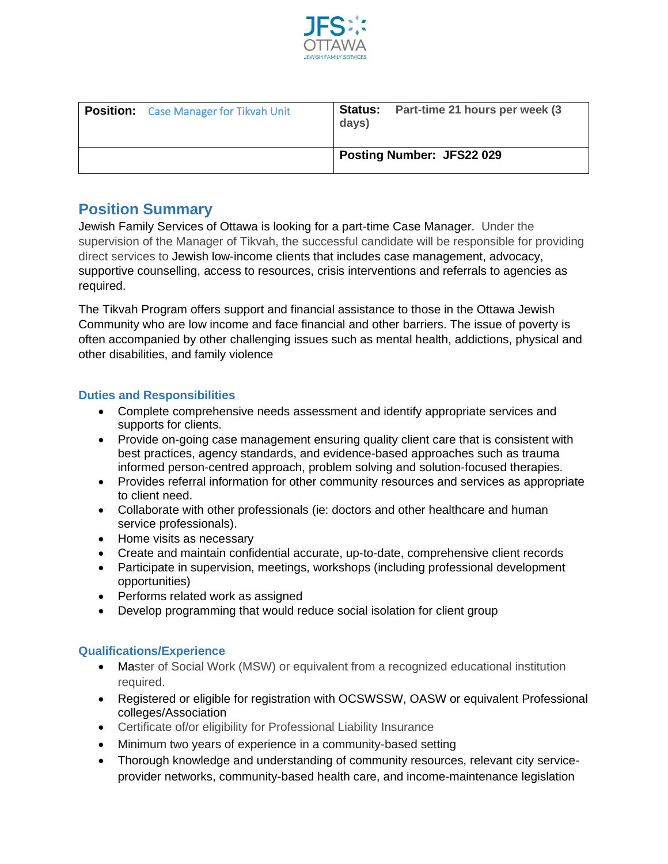

| <b>Position:</b> Case Manager for Tikvah Unit | days)                            | <b>Status:</b> Part-time 21 hours per week (3) |
|-----------------------------------------------|----------------------------------|------------------------------------------------|
|                                               | <b>Posting Number: JFS22 029</b> |                                                |

## **Position Summary**

Jewish Family Services of Ottawa is looking for a part-time Case Manager. Under the supervision of the Manager of Tikvah, the successful candidate will be responsible for providing direct services to Jewish low-income clients that includes case management, advocacy, supportive counselling, access to resources, crisis interventions and referrals to agencies as required.

The Tikvah Program offers support and financial assistance to those in the Ottawa Jewish Community who are low income and face financial and other barriers. The issue of poverty is often accompanied by other challenging issues such as mental health, addictions, physical and other disabilities, and family violence

## **Duties and Responsibilities**

- Complete comprehensive needs assessment and identify appropriate services and supports for clients.
- Provide on-going case management ensuring quality client care that is consistent with best practices, agency standards, and evidence-based approaches such as trauma informed person-centred approach, problem solving and solution-focused therapies.
- Provides referral information for other community resources and services as appropriate to client need.
- Collaborate with other professionals (ie: doctors and other healthcare and human service professionals).
- Home visits as necessary
- Create and maintain confidential accurate, up-to-date, comprehensive client records
- Participate in supervision, meetings, workshops (including professional development opportunities)
- Performs related work as assigned
- Develop programming that would reduce social isolation for client group

## **Qualifications/Experience**

- Master of Social Work (MSW) or equivalent from a recognized educational institution required.
- Registered or eligible for registration with OCSWSSW, OASW or equivalent Professional colleges/Association
- Certificate of/or eligibility for Professional Liability Insurance
- Minimum two years of experience in a community-based setting
- Thorough knowledge and understanding of community resources, relevant city serviceprovider networks, community-based health care, and income-maintenance legislation